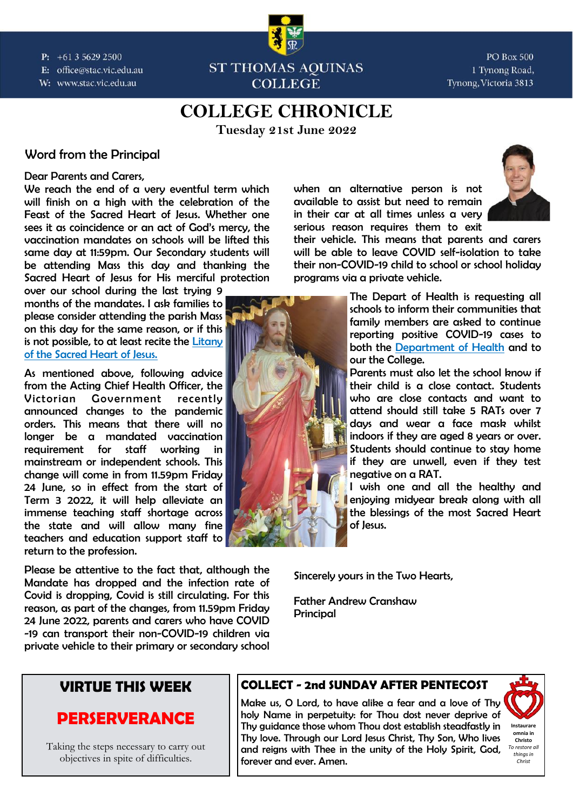$P: +61356292500$ E: office@stac.vic.edu.au

W: www.stac.vic.edu.au



**PO Box 500** 1 Tynong Road, Tynong, Victoria 3813

## **COLLEGE CHRONICLE**

**Tuesday 21st June 2022** 

### *Word from the Principal*

### *Dear Parents and Carers,*

*We reach the end of a very eventful term which will finish on a high with the celebration of the Feast of the Sacred Heart of Jesus. Whether one*  sees it as coincidence or an act of God's mercy, the *vaccination mandates on schools will be lifted this same day at 11:59pm. Our Secondary students will be attending Mass this day and thanking the Sacred Heart of Jesus for His merciful protection* 

*over our school during the last trying 9 months of the mandates. I ask families to please consider attending the parish Mass on this day for the same reason, or if this is not possible, to at least recite the [Litany](https://www.ewtn.com/catholicism/teachings/litany-to-the-sacred-heart-of-jesus-270)  [of the Sacred Heart of Jesus.](https://www.ewtn.com/catholicism/teachings/litany-to-the-sacred-heart-of-jesus-270)* 

*As mentioned above, following advice from the Acting Chief Health Officer, the Victorian Government recently announced changes to the pandemic orders. This means that there will no longer be a mandated vaccination requirement for staff working in mainstream or independent schools. This change will come in from 11.59pm Friday 24 June, so in effect from the start of Term 3 2022, it will help alleviate an immense teaching staff shortage across the state and will allow many fine teachers and education support staff to return to the profession.* 

*Please be attentive to the fact that, although the Mandate has dropped and the infection rate of Covid is dropping, Covid is still circulating. For this reason, as part of the changes, from 11.59pm Friday 24 June 2022, parents and carers who have COVID -19 can transport their non-COVID-19 children via private vehicle to their primary or secondary school*  *when an alternative person is not available to assist but need to remain in their car at all times unless a very serious reason requires them to exit* 



*their vehicle. This means that parents and carers will be able to leave COVID self-isolation to take their non-COVID-19 child to school or school holiday programs via a private vehicle.* 

> *The Depart of Health is requesting all schools to inform their communities that family members are asked to continue reporting positive COVID-19 cases to both the [Department of Health](https://dhvicgovau.powerappsportals.com/rapid-antigen-test/) and to our the College.*

> *Parents must also let the school know if their child is a close contact. Students who are close contacts and want to attend should still take 5 RATs over 7 days and wear a face mask whilst indoors if they are aged 8 years or over. Students should continue to stay home if they are unwell, even if they test negative on a RAT.*

> *I wish one and all the healthy and enjoying midyear break along with all the blessings of the most Sacred Heart of Jesus.*

*Sincerely yours in the Two Hearts,* 

*Father Andrew Cranshaw Principal* 

## *VIRTUE THIS WEEK*

## *PERSERVERANCE*

Taking the steps necessary to carry out objectives in spite of difficulties.

### *COLLECT - 2nd SUNDAY AFTER PENTECOST*

*Make us, O Lord, to have alike a fear and a love of Thy holy Name in perpetuity: for Thou dost never deprive of Thy guidance those whom Thou dost establish steadfastly in Thy love. Through our Lord Jesus Christ, Thy Son, Who lives and reigns with Thee in the unity of the Holy Spirit, God, forever and ever. Amen.* 

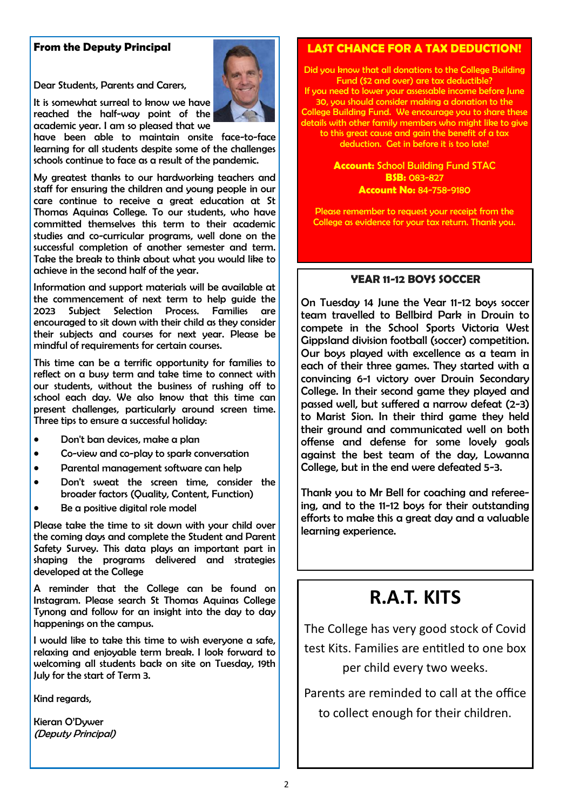### *From the Deputy Principal*

*Dear Students, Parents and Carers,* 

*It is somewhat surreal to know we have reached the half-way point of the academic year. I am so pleased that we* 

*have been able to maintain onsite face-to-face learning for all students despite some of the challenges schools continue to face as a result of the pandemic.* 

*My greatest thanks to our hardworking teachers and staff for ensuring the children and young people in our care continue to receive a great education at St Thomas Aquinas College. To our students, who have committed themselves this term to their academic studies and co-curricular programs, well done on the successful completion of another semester and term. Take the break to think about what you would like to achieve in the second half of the year.* 

*Information and support materials will be available at the commencement of next term to help guide the 2023 Subject Selection Process. Families are encouraged to sit down with their child as they consider their subjects and courses for next year. Please be mindful of requirements for certain courses.* 

*This time can be a terrific opportunity for families to reflect on a busy term and take time to connect with our students, without the business of rushing off to school each day. We also know that this time can present challenges, particularly around screen time. Three tips to ensure a successful holiday:* 

- *Don't ban devices, make a plan*
- *Co-view and co-play to spark conversation*
- *Parental management software can help*
- *Don't sweat the screen time, consider the broader factors (Quality, Content, Function)*
- *Be a positive digital role model*

*Please take the time to sit down with your child over the coming days and complete the Student and Parent Safety Survey. This data plays an important part in shaping the programs delivered and strategies developed at the College* 

*A reminder that the College can be found on Instagram. Please search St Thomas Aquinas College Tynong and follow for an insight into the day to day happenings on the campus.* 

*I would like to take this time to wish everyone a safe, relaxing and enjoyable term break. I look forward to welcoming all students back on site on Tuesday, 19th July for the start of Term 3.* 

*Kind regards,* 

Kieran O'Dywer *(Deputy Principal)* 

### *LAST CHANCE FOR A TAX DEDUCTION!*

*Did you know that all donations to the College Building Fund (\$2 and over) are tax deductible?* 

*If you need to lower your assessable income before June 30, you should consider making a donation to the College Building Fund. We encourage you to share these details with other family members who might like to give to this great cause and gain the benefit of a tax deduction. Get in before it is too late!* 

### *Account: School Building Fund STAC BSB: 083-827 Account No: 84-758-9180*

*Please remember to request your receipt from the College as evidence for your tax return. Thank you.* 

### *YEAR 11-12 BOYS SOCCER*

*On Tuesday 14 June the Year 11-12 boys soccer team travelled to Bellbird Park in Drouin to compete in the School Sports Victoria West Gippsland division football (soccer) competition. Our boys played with excellence as a team in each of their three games. They started with a convincing 6-1 victory over Drouin Secondary College. In their second game they played and passed well, but suffered a narrow defeat (2-3) to Marist Sion. In their third game they held their ground and communicated well on both offense and defense for some lovely goals against the best team of the day, Lowanna College, but in the end were defeated 5-3.* 

*Thank you to Mr Bell for coaching and refereeing, and to the 11-12 boys for their outstanding efforts to make this a great day and a valuable learning experience.* 

## **R.A.T. KITS**

The College has very good stock of Covid test Kits. Families are entitled to one box per child every two weeks.

Parents are reminded to call at the office to collect enough for their children.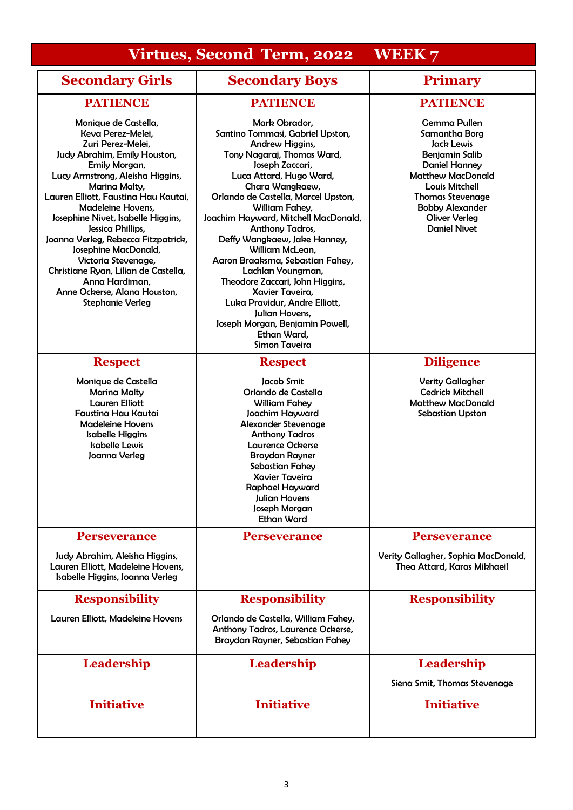## **Virtues, Second Term, 2022 WEEK 7**

## **Secondary Girls Secondary Boys Primary**

| <b>PATIENCE</b>                                                                                                                                                                                                                                                                                                                                                                                                                                                                                         | <b>PATIENCE</b>                                                                                                                                                                                                                                                                                                                                                                                                                                                                                                                                                                        | <b>PATIENCE</b>                                                                                                                                                                                                                                       |
|---------------------------------------------------------------------------------------------------------------------------------------------------------------------------------------------------------------------------------------------------------------------------------------------------------------------------------------------------------------------------------------------------------------------------------------------------------------------------------------------------------|----------------------------------------------------------------------------------------------------------------------------------------------------------------------------------------------------------------------------------------------------------------------------------------------------------------------------------------------------------------------------------------------------------------------------------------------------------------------------------------------------------------------------------------------------------------------------------------|-------------------------------------------------------------------------------------------------------------------------------------------------------------------------------------------------------------------------------------------------------|
| Monique de Castella,<br>Keva Perez-Melei,<br>Zuri Perez-Melei,<br>Judy Abrahim, Emily Houston,<br>Emily Morgan,<br>Lucy Armstrong, Aleisha Higgins,<br>Marina Malty,<br>Lauren Elliott, Faustina Hau Kautai,<br>Madeleine Hovens,<br>Josephine Nivet, Isabelle Higgins,<br>Jessica Phillips,<br>Joanna Verleg, Rebecca Fitzpatrick,<br>Josephine MacDonald,<br>Victoria Stevenage,<br>Christiane Ryan, Lilian de Castella,<br>Anna Hardiman.<br>Anne Ockerse, Alana Houston,<br><b>Stephanie Verleg</b> | Mark Obrador,<br>Santino Tommasi, Gabriel Upston,<br>Andrew Higgins,<br>Tony Nagaraj, Thomas Ward,<br>Joseph Zaccari,<br>Luca Attard, Hugo Ward,<br>Chara Wangkaew,<br>Orlando de Castella, Marcel Upston,<br>William Fahey,<br>Joachim Hayward, Mitchell MacDonald,<br>Anthony Tadros,<br>Deffy Wangkaew, Jake Hanney,<br>William McLean,<br>Aaron Braaksma, Sebastian Fahey,<br>Lachlan Youngman,<br>Theodore Zaccari, John Higgins,<br>Xavier Taveira,<br>Luka Pravidur, Andre Elliott,<br>Julian Hovens,<br>Joseph Morgan, Benjamin Powell,<br>Ethan Ward,<br><b>Simon Taveira</b> | <b>Gemma Pullen</b><br>Samantha Borg<br>Jack Lewis<br><b>Benjamin Salib</b><br><b>Daniel Hanney</b><br><b>Matthew MacDonald</b><br>Louis Mitchell<br><b>Thomas Stevenage</b><br><b>Bobby Alexander</b><br><b>Oliver Verleg</b><br><b>Daniel Nivet</b> |
| <b>Respect</b>                                                                                                                                                                                                                                                                                                                                                                                                                                                                                          | <b>Respect</b>                                                                                                                                                                                                                                                                                                                                                                                                                                                                                                                                                                         | <b>Diligence</b>                                                                                                                                                                                                                                      |
| Monique de Castella<br><b>Marina Malty</b><br><b>Lauren Elliott</b><br>Faustina Hau Kautai<br><b>Madeleine Hovens</b><br><b>Isabelle Higgins</b><br><b>Isabelle Lewis</b><br>Joanna Verleg                                                                                                                                                                                                                                                                                                              | Jacob Smit<br>Orlando de Castella<br>William Fahey<br>Joachim Hayward<br><b>Alexander Stevenage</b><br><b>Anthony Tadros</b><br><b>Laurence Ockerse</b><br><b>Braydan Rayner</b><br>Sebastian Fahey<br><b>Xavier Taveira</b><br>Raphael Hayward<br>Julian Hovens<br>Joseph Morgan<br><b>Ethan Ward</b>                                                                                                                                                                                                                                                                                 | <b>Verity Gallagher</b><br><b>Cedrick Mitchell</b><br><b>Matthew MacDonald</b><br>Sebastian Upston                                                                                                                                                    |
| <b>Perseverance</b>                                                                                                                                                                                                                                                                                                                                                                                                                                                                                     | <b>Perseverance</b>                                                                                                                                                                                                                                                                                                                                                                                                                                                                                                                                                                    | <b>Perseverance</b>                                                                                                                                                                                                                                   |
| Judy Abrahim, Aleisha Higgins,<br>Lauren Elliott, Madeleine Hovens,<br>Isabelle Higgins, Joanna Verleg                                                                                                                                                                                                                                                                                                                                                                                                  |                                                                                                                                                                                                                                                                                                                                                                                                                                                                                                                                                                                        | Verity Gallagher, Sophia MacDonald,<br>Thea Attard, Karas Mikhaeil                                                                                                                                                                                    |
| <b>Responsibility</b>                                                                                                                                                                                                                                                                                                                                                                                                                                                                                   | <b>Responsibility</b>                                                                                                                                                                                                                                                                                                                                                                                                                                                                                                                                                                  | <b>Responsibility</b>                                                                                                                                                                                                                                 |
| Lauren Elliott, Madeleine Hovens                                                                                                                                                                                                                                                                                                                                                                                                                                                                        | Orlando de Castella, William Fahey,<br>Anthony Tadros, Laurence Ockerse,<br>Braydan Rayner, Sebastian Fahey                                                                                                                                                                                                                                                                                                                                                                                                                                                                            |                                                                                                                                                                                                                                                       |
| Leadership                                                                                                                                                                                                                                                                                                                                                                                                                                                                                              | <b>Leadership</b>                                                                                                                                                                                                                                                                                                                                                                                                                                                                                                                                                                      | Leadership                                                                                                                                                                                                                                            |
|                                                                                                                                                                                                                                                                                                                                                                                                                                                                                                         |                                                                                                                                                                                                                                                                                                                                                                                                                                                                                                                                                                                        | Siena Smit, Thomas Stevenage                                                                                                                                                                                                                          |
| <b>Initiative</b>                                                                                                                                                                                                                                                                                                                                                                                                                                                                                       | <b>Initiative</b>                                                                                                                                                                                                                                                                                                                                                                                                                                                                                                                                                                      | <b>Initiative</b>                                                                                                                                                                                                                                     |
|                                                                                                                                                                                                                                                                                                                                                                                                                                                                                                         |                                                                                                                                                                                                                                                                                                                                                                                                                                                                                                                                                                                        |                                                                                                                                                                                                                                                       |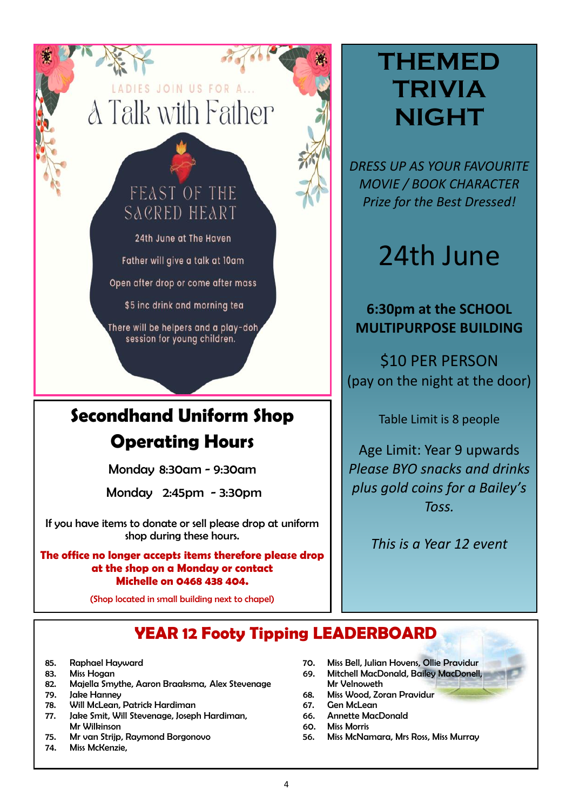# ADIES JOIN US FOR A... **A Talk with Father**

## FEAST OF THE SACRED HEART

24th June at The Haven Father will give a talk at 10am

Open after drop or come after mass

\$5 inc drink and morning tea

There will be helpers and a play-doh session for young children.

## *Secondhand Uniform Shop Operating Hours*

*Monday 8:30am - 9:30am* 

 *Monday 2:45pm - 3:30pm* 

*If you have items to donate or sell please drop at uniform shop during these hours.* 

### *The office no longer accepts items therefore please drop at the shop on a Monday or contact Michelle on 0468 438 404.*

*(Shop located in small building next to chapel)* 

# **THEMED TRIVIA NIGHT**

*DRESS UP AS YOUR FAVOURITE MOVIE / BOOK CHARACTER Prize for the Best Dressed!*

# 24th June

**6:30pm at the SCHOOL MULTIPURPOSE BUILDING**

\$10 PER PERSON (pay on the night at the door)

Table Limit is 8 people

Age Limit: Year 9 upwards *Please BYO snacks and drinks plus gold coins for a Bailey's Toss.*

*This is a Year 12 event*

## *YEAR 12 Footy Tipping LEADERBOARD*

- *85. Raphael Hayward*
- *83. Miss Hogan*
- *82. Majella Smythe, Aaron Braaksma, Alex Stevenage*
- *79. Jake Hanney*
- *78. Will McLean, Patrick Hardiman*
- *77. Jake Smit, Will Stevenage, Joseph Hardiman, Mr Wilkinson*
- *75. Mr van Strijp, Raymond Borgonovo*
- *74. Miss McKenzie,*
- *70. Miss Bell, Julian Hovens, Ollie Pravidur*
- *69. Mitchell MacDonald, Bailey MacDonell, Mr Velnoweth*
- *68. Miss Wood, Zoran Pravidur*
- *67. Gen McLean*
- *66. Annette MacDonald*
- *60. Miss Morris*
- *56. Miss McNamara, Mrs Ross, Miss Murray*